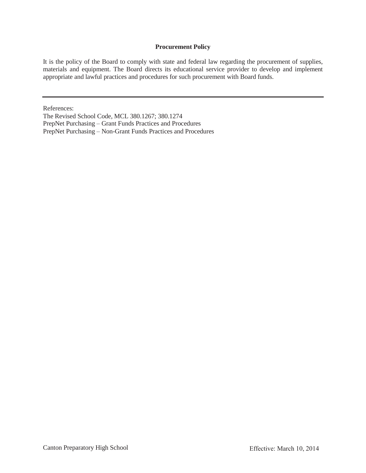#### **Procurement Policy**

It is the policy of the Board to comply with state and federal law regarding the procurement of supplies, materials and equipment. The Board directs its educational service provider to develop and implement appropriate and lawful practices and procedures for such procurement with Board funds.

References:

The Revised School Code, MCL 380.1267; 380.1274

PrepNet Purchasing – Grant Funds Practices and Procedures

PrepNet Purchasing – Non-Grant Funds Practices and Procedures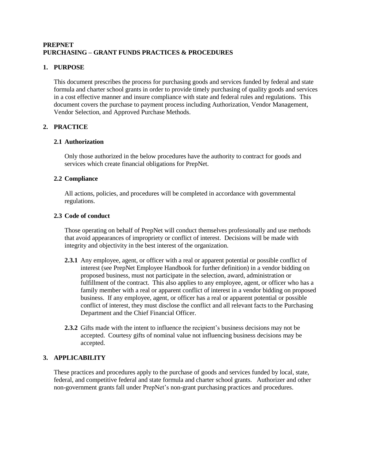## **PREPNET PURCHASING – GRANT FUNDS PRACTICES & PROCEDURES**

## **1. PURPOSE**

This document prescribes the process for purchasing goods and services funded by federal and state formula and charter school grants in order to provide timely purchasing of quality goods and services in a cost effective manner and insure compliance with state and federal rules and regulations. This document covers the purchase to payment process including Authorization, Vendor Management, Vendor Selection, and Approved Purchase Methods.

## **2. PRACTICE**

### **2.1 Authorization**

Only those authorized in the below procedures have the authority to contract for goods and services which create financial obligations for PrepNet.

## **2.2 Compliance**

All actions, policies, and procedures will be completed in accordance with governmental regulations.

### **2.3 Code of conduct**

Those operating on behalf of PrepNet will conduct themselves professionally and use methods that avoid appearances of impropriety or conflict of interest. Decisions will be made with integrity and objectivity in the best interest of the organization.

- **2.3.1** Any employee, agent, or officer with a real or apparent potential or possible conflict of interest (see PrepNet Employee Handbook for further definition) in a vendor bidding on proposed business, must not participate in the selection, award, administration or fulfillment of the contract. This also applies to any employee, agent, or officer who has a family member with a real or apparent conflict of interest in a vendor bidding on proposed business. If any employee, agent, or officer has a real or apparent potential or possible conflict of interest, they must disclose the conflict and all relevant facts to the Purchasing Department and the Chief Financial Officer.
- **2.3.2** Gifts made with the intent to influence the recipient's business decisions may not be accepted. Courtesy gifts of nominal value not influencing business decisions may be accepted.

### **3. APPLICABILITY**

These practices and procedures apply to the purchase of goods and services funded by local, state, federal, and competitive federal and state formula and charter school grants. Authorizer and other non-government grants fall under PrepNet's non-grant purchasing practices and procedures.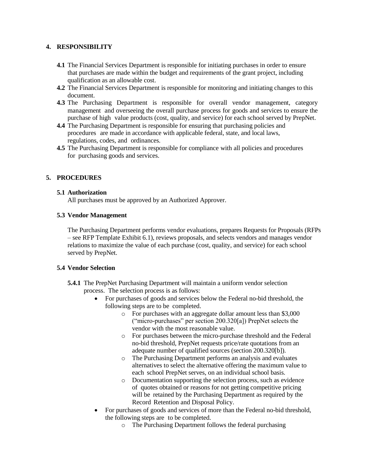### **4. RESPONSIBILITY**

- **4.1** The Financial Services Department is responsible for initiating purchases in order to ensure that purchases are made within the budget and requirements of the grant project, including qualification as an allowable cost.
- **4.2** The Financial Services Department is responsible for monitoring and initiating changes to this document.
- **4.3** The Purchasing Department is responsible for overall vendor management, category management and overseeing the overall purchase process for goods and services to ensure the purchase of high value products (cost, quality, and service) for each school served by PrepNet.
- **4.4** The Purchasing Department is responsible for ensuring that purchasing policies and procedures are made in accordance with applicable federal, state, and local laws, regulations, codes, and ordinances.
- **4.5** The Purchasing Department is responsible for compliance with all policies and procedures for purchasing goods and services.

## **5. PROCEDURES**

### **5.1 Authorization**

All purchases must be approved by an Authorized Approver.

## **5.3 Vendor Management**

The Purchasing Department performs vendor evaluations, prepares Requests for Proposals (RFPs – see RFP Template Exhibit 6.1), reviews proposals, and selects vendors and manages vendor relations to maximize the value of each purchase (cost, quality, and service) for each school served by PrepNet.

### **5.4 Vendor Selection**

- **5.4.1** The PrepNet Purchasing Department will maintain a uniform vendor selection process. The selection process is as follows:
	- For purchases of goods and services below the Federal no-bid threshold, the following steps are to be completed.
		- o For purchases with an aggregate dollar amount less than \$3,000 ("micro-purchases" per section 200.320[a]) PrepNet selects the vendor with the most reasonable value.
		- o For purchases between the micro-purchase threshold and the Federal no-bid threshold, PrepNet requests price/rate quotations from an adequate number of qualified sources (section 200.320[b]).
		- o The Purchasing Department performs an analysis and evaluates alternatives to select the alternative offering the maximum value to each school PrepNet serves, on an individual school basis.
		- o Documentation supporting the selection process, such as evidence of quotes obtained or reasons for not getting competitive pricing will be retained by the Purchasing Department as required by the Record Retention and Disposal Policy.
	- For purchases of goods and services of more than the Federal no-bid threshold, the following steps are to be completed.
		- o The Purchasing Department follows the federal purchasing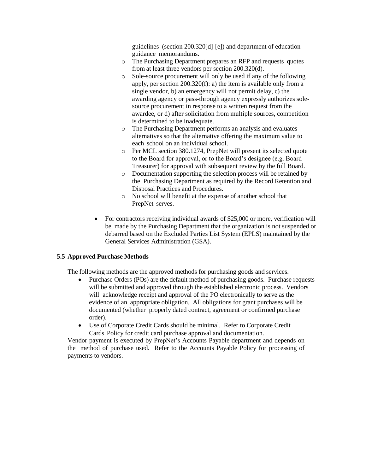guidelines (section 200.320[d]-[e]) and department of education guidance memorandums.

- o The Purchasing Department prepares an RFP and requests quotes from at least three vendors per section 200.320(d).
- o Sole-source procurement will only be used if any of the following apply, per section 200.320(f): a) the item is available only from a single vendor, b) an emergency will not permit delay, c) the awarding agency or pass-through agency expressly authorizes solesource procurement in response to a written request from the awardee, or d) after solicitation from multiple sources, competition is determined to be inadequate.
- o The Purchasing Department performs an analysis and evaluates alternatives so that the alternative offering the maximum value to each school on an individual school.
- o Per MCL section 380.1274, PrepNet will present its selected quote to the Board for approval, or to the Board's designee (e.g. Board Treasurer) for approval with subsequent review by the full Board.
- o Documentation supporting the selection process will be retained by the Purchasing Department as required by the Record Retention and Disposal Practices and Procedures.
- o No school will benefit at the expense of another school that PrepNet serves.
- For contractors receiving individual awards of \$25,000 or more, verification will be made by the Purchasing Department that the organization is not suspended or debarred based on the Excluded Parties List System (EPLS) maintained by the General Services Administration (GSA).

### **5.5 Approved Purchase Methods**

The following methods are the approved methods for purchasing goods and services.

- Purchase Orders (POs) are the default method of purchasing goods. Purchase requests will be submitted and approved through the established electronic process. Vendors will acknowledge receipt and approval of the PO electronically to serve as the evidence of an appropriate obligation. All obligations for grant purchases will be documented (whether properly dated contract, agreement or confirmed purchase order).
- Use of Corporate Credit Cards should be minimal. Refer to Corporate Credit Cards Policy for credit card purchase approval and documentation.

Vendor payment is executed by PrepNet's Accounts Payable department and depends on the method of purchase used. Refer to the Accounts Payable Policy for processing of payments to vendors.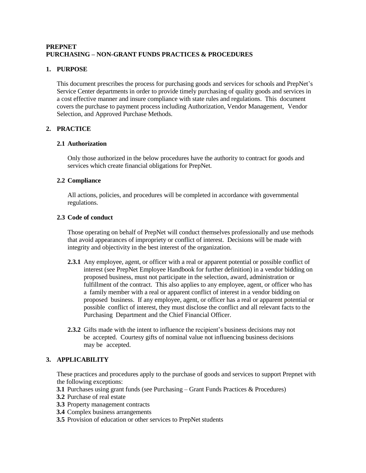## **PREPNET PURCHASING – NON-GRANT FUNDS PRACTICES & PROCEDURES**

# **1. PURPOSE**

This document prescribes the process for purchasing goods and services for schools and PrepNet's Service Center departments in order to provide timely purchasing of quality goods and services in a cost effective manner and insure compliance with state rules and regulations. This document covers the purchase to payment process including Authorization, Vendor Management, Vendor Selection, and Approved Purchase Methods.

# **2. PRACTICE**

### **2.1 Authorization**

Only those authorized in the below procedures have the authority to contract for goods and services which create financial obligations for PrepNet.

### **2.2 Compliance**

All actions, policies, and procedures will be completed in accordance with governmental regulations.

### **2.3 Code of conduct**

Those operating on behalf of PrepNet will conduct themselves professionally and use methods that avoid appearances of impropriety or conflict of interest. Decisions will be made with integrity and objectivity in the best interest of the organization.

- **2.3.1** Any employee, agent, or officer with a real or apparent potential or possible conflict of interest (see PrepNet Employee Handbook for further definition) in a vendor bidding on proposed business, must not participate in the selection, award, administration or fulfillment of the contract. This also applies to any employee, agent, or officer who has a family member with a real or apparent conflict of interest in a vendor bidding on proposed business. If any employee, agent, or officer has a real or apparent potential or possible conflict of interest, they must disclose the conflict and all relevant facts to the Purchasing Department and the Chief Financial Officer.
- **2.3.2** Gifts made with the intent to influence the recipient's business decisions may not be accepted. Courtesy gifts of nominal value not influencing business decisions may be accepted.

## **3. APPLICABILITY**

These practices and procedures apply to the purchase of goods and services to support Prepnet with the following exceptions:

- **3.1** Purchases using grant funds (see Purchasing Grant Funds Practices & Procedures)
- **3.2** Purchase of real estate
- **3.3** Property management contracts
- **3.4** Complex business arrangements
- **3.5** Provision of education or other services to PrepNet students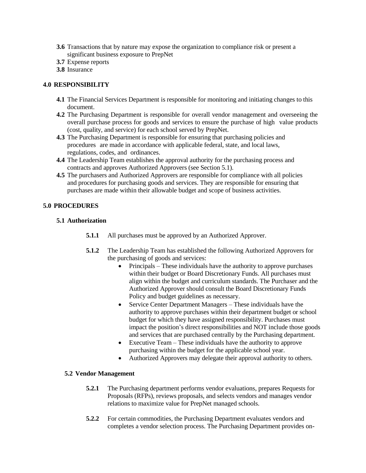- **3.6** Transactions that by nature may expose the organization to compliance risk or present a significant business exposure to PrepNet
- **3.7** Expense reports
- **3.8** Insurance

### **4.0 RESPONSIBILITY**

- **4.1** The Financial Services Department is responsible for monitoring and initiating changes to this document.
- **4.2** The Purchasing Department is responsible for overall vendor management and overseeing the overall purchase process for goods and services to ensure the purchase of high value products (cost, quality, and service) for each school served by PrepNet.
- **4.3** The Purchasing Department is responsible for ensuring that purchasing policies and procedures are made in accordance with applicable federal, state, and local laws, regulations, codes, and ordinances.
- **4.4** The Leadership Team establishes the approval authority for the purchasing process and contracts and approves Authorized Approvers (see Section 5.1).
- **4.5** The purchasers and Authorized Approvers are responsible for compliance with all policies and procedures for purchasing goods and services. They are responsible for ensuring that purchases are made within their allowable budget and scope of business activities.

### **5.0 PROCEDURES**

#### **5.1 Authorization**

- **5.1.1** All purchases must be approved by an Authorized Approver.
- **5.1.2** The Leadership Team has established the following Authorized Approvers for the purchasing of goods and services:
	- $\bullet$  Principals These individuals have the authority to approve purchases within their budget or Board Discretionary Funds. All purchases must align within the budget and curriculum standards. The Purchaser and the Authorized Approver should consult the Board Discretionary Funds Policy and budget guidelines as necessary.
	- Service Center Department Managers These individuals have the authority to approve purchases within their department budget or school budget for which they have assigned responsibility. Purchases must impact the position's direct responsibilities and NOT include those goods and services that are purchased centrally by the Purchasing department.
	- Executive Team These individuals have the authority to approve purchasing within the budget for the applicable school year.
	- Authorized Approvers may delegate their approval authority to others.

#### **5.2 Vendor Management**

- **5.2.1** The Purchasing department performs vendor evaluations, prepares Requests for Proposals (RFPs), reviews proposals, and selects vendors and manages vendor relations to maximize value for PrepNet managed schools.
- **5.2.2** For certain commodities, the Purchasing Department evaluates vendors and completes a vendor selection process. The Purchasing Department provides on-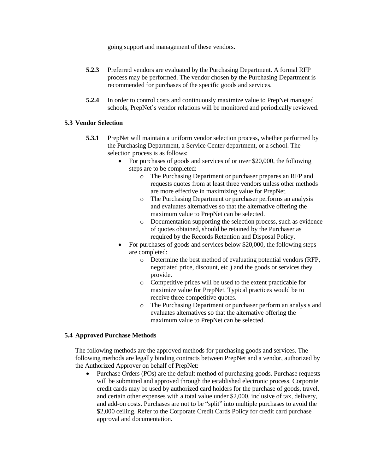going support and management of these vendors.

- **5.2.3** Preferred vendors are evaluated by the Purchasing Department. A formal RFP process may be performed. The vendor chosen by the Purchasing Department is recommended for purchases of the specific goods and services.
- **5.2.4** In order to control costs and continuously maximize value to PrepNet managed schools, PrepNet's vendor relations will be monitored and periodically reviewed.

### **5.3 Vendor Selection**

- **5.3.1** PrepNet will maintain a uniform vendor selection process, whether performed by the Purchasing Department, a Service Center department, or a school. The selection process is as follows:
	- For purchases of goods and services of or over \$20,000, the following steps are to be completed:
		- o The Purchasing Department or purchaser prepares an RFP and requests quotes from at least three vendors unless other methods are more effective in maximizing value for PrepNet.
		- o The Purchasing Department or purchaser performs an analysis and evaluates alternatives so that the alternative offering the maximum value to PrepNet can be selected.
		- o Documentation supporting the selection process, such as evidence of quotes obtained, should be retained by the Purchaser as required by the Records Retention and Disposal Policy.
	- For purchases of goods and services below \$20,000, the following steps are completed:
		- o Determine the best method of evaluating potential vendors (RFP, negotiated price, discount, etc.) and the goods or services they provide.
		- o Competitive prices will be used to the extent practicable for maximize value for PrepNet. Typical practices would be to receive three competitive quotes.
		- o The Purchasing Department or purchaser perform an analysis and evaluates alternatives so that the alternative offering the maximum value to PrepNet can be selected.

### **5.4 Approved Purchase Methods**

The following methods are the approved methods for purchasing goods and services. The following methods are legally binding contracts between PrepNet and a vendor, authorized by the Authorized Approver on behalf of PrepNet:

 Purchase Orders (POs) are the default method of purchasing goods. Purchase requests will be submitted and approved through the established electronic process. Corporate credit cards may be used by authorized card holders for the purchase of goods, travel, and certain other expenses with a total value under \$2,000, inclusive of tax, delivery, and add-on costs. Purchases are not to be "split" into multiple purchases to avoid the \$2,000 ceiling. Refer to the Corporate Credit Cards Policy for credit card purchase approval and documentation.